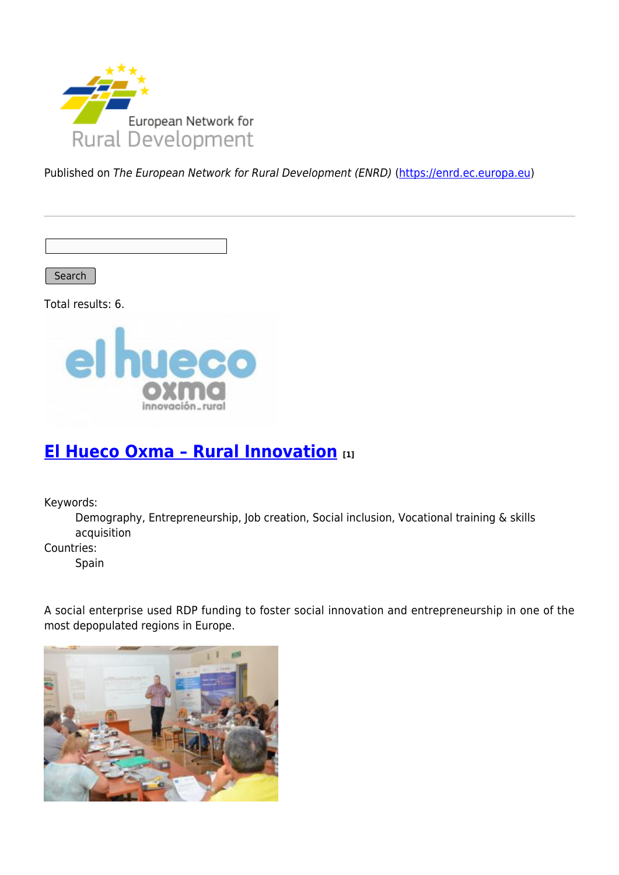

Published on The European Network for Rural Development (ENRD) [\(https://enrd.ec.europa.eu](https://enrd.ec.europa.eu))

Search |

Total results: 6.



### **[El Hueco Oxma – Rural Innovation](https://enrd.ec.europa.eu/projects-practice/el-hueco-oxma-rural-innovation_en) [1]**

Keywords:

Demography, Entrepreneurship, Job creation, Social inclusion, Vocational training & skills acquisition

Countries:

Spain

A social enterprise used RDP funding to foster social innovation and entrepreneurship in one of the most depopulated regions in Europe.

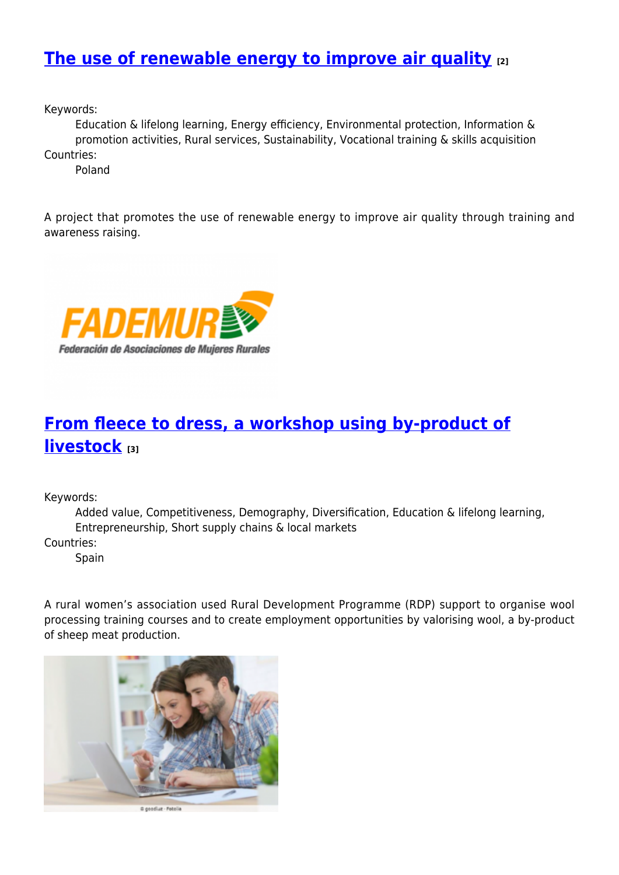### **[The use of renewable energy to improve air quality](https://enrd.ec.europa.eu/projects-practice/use-renewable-energy-improve-air-quality_en) [2]**

Keywords:

Education & lifelong learning, Energy efficiency, Environmental protection, Information & promotion activities, Rural services, Sustainability, Vocational training & skills acquisition Countries:

Poland

A project that promotes the use of renewable energy to improve air quality through training and awareness raising.



# **[From fleece to dress, a workshop using by-product of](https://enrd.ec.europa.eu/projects-practice/fleece-dress-workshop-using-product-livestock_en) [livestock](https://enrd.ec.europa.eu/projects-practice/fleece-dress-workshop-using-product-livestock_en) [3]**

Keywords:

Added value, Competitiveness, Demography, Diversification, Education & lifelong learning, Entrepreneurship, Short supply chains & local markets

Countries:

Spain

A rural women's association used Rural Development Programme (RDP) support to organise wool processing training courses and to create employment opportunities by valorising wool, a by-product of sheep meat production.

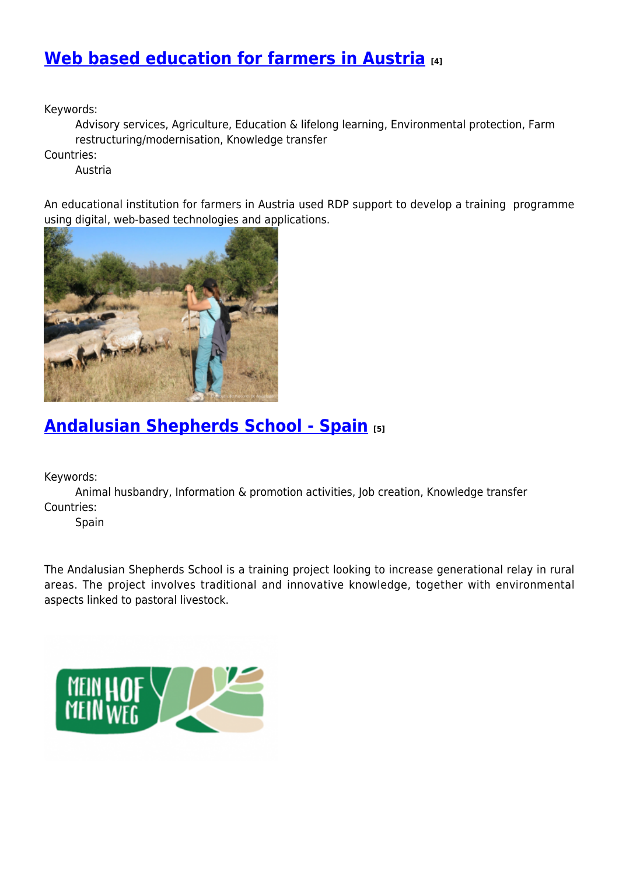### **[Web based education for farmers in Austria](https://enrd.ec.europa.eu/projects-practice/web-based-education-farmers-austria_en) [4]**

Keywords:

Advisory services, Agriculture, Education & lifelong learning, Environmental protection, Farm restructuring/modernisation, Knowledge transfer

Countries:

Austria

An educational institution for farmers in Austria used RDP support to develop a training programme using digital, web-based technologies and applications.



## **[Andalusian Shepherds School - Spain](https://enrd.ec.europa.eu/projects-practice/andalusian-shepherd-school-2017_en) [5]**

Keywords:

Animal husbandry, Information & promotion activities, Job creation, Knowledge transfer Countries:

Spain

The Andalusian Shepherds School is a training project looking to increase generational relay in rural areas. The project involves traditional and innovative knowledge, together with environmental aspects linked to pastoral livestock.